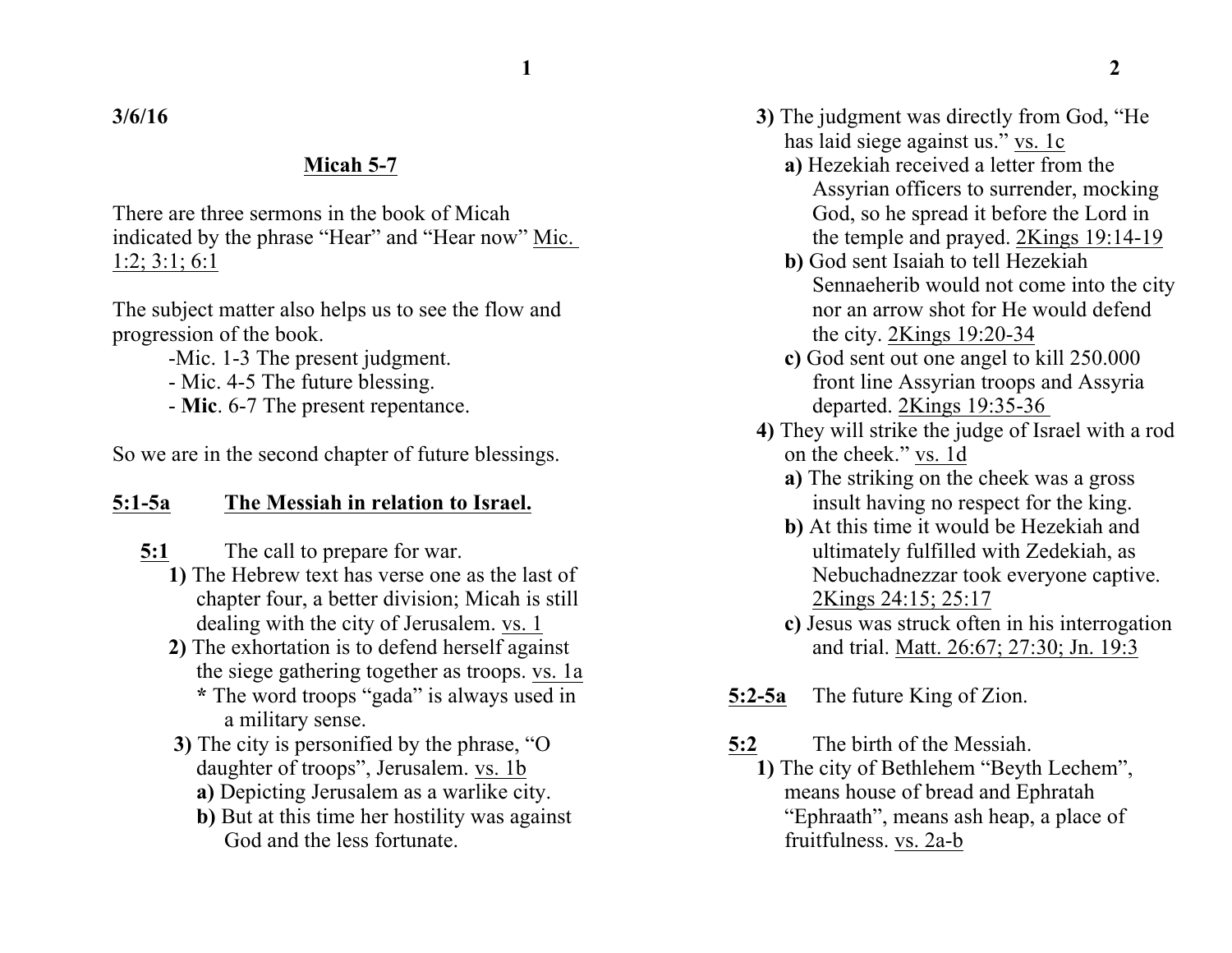**3/6/16**

#### **Micah 5-7**

There are three sermons in the book of Micah indicated by the phrase "Hear" and "Hear now" Mic. 1:2; 3:1; 6:1

The subject matter also helps us to see the flow and progression of the book.

- -Mic. 1-3 The present judgment.
- Mic. 4-5 The future blessing.
- **Mic**. 6-7 The present repentance.

So we are in the second chapter of future blessings.

#### **5:1-5a The Messiah in relation to Israel.**

- **5:1** The call to prepare for war.
	- **1)** The Hebrew text has verse one as the last of chapter four, a better division; Micah is still dealing with the city of Jerusalem. vs. 1
	- **2)** The exhortation is to defend herself against the siege gathering together as troops. vs. 1a **\*** The word troops "gada" is always used in a military sense.
	- **3)** The city is personified by the phrase, "O daughter of troops", Jerusalem. vs. 1b
		- **a)** Depicting Jerusalem as a warlike city.
		- **b)** But at this time her hostility was against God and the less fortunate.
- **3)** The judgment was directly from God, "He has laid siege against us." vs. 1c
	- **a)** Hezekiah received a letter from the Assyrian officers to surrender, mocking God, so he spread it before the Lord in the temple and prayed. 2Kings 19:14-19
	- **b)** God sent Isaiah to tell Hezekiah Sennaeherib would not come into the city nor an arrow shot for He would defend the city. 2Kings 19:20-34
	- **c)** God sent out one angel to kill 250.000 front line Assyrian troops and Assyria departed. 2Kings 19:35-36
- **4)** They will strike the judge of Israel with a rod on the cheek." vs. 1d
	- **a)** The striking on the cheek was a gross insult having no respect for the king.
	- **b)** At this time it would be Hezekiah and ultimately fulfilled with Zedekiah, as Nebuchadnezzar took everyone captive. 2Kings 24:15; 25:17
	- **c)** Jesus was struck often in his interrogation and trial. Matt. 26:67; 27:30; Jn. 19:3
- **5:2-5a** The future King of Zion.
- **5:2** The birth of the Messiah.
	- **1)** The city of Bethlehem "Beyth Lechem", means house of bread and Ephratah "Ephraath", means ash heap, a place of fruitfulness. vs. 2a-b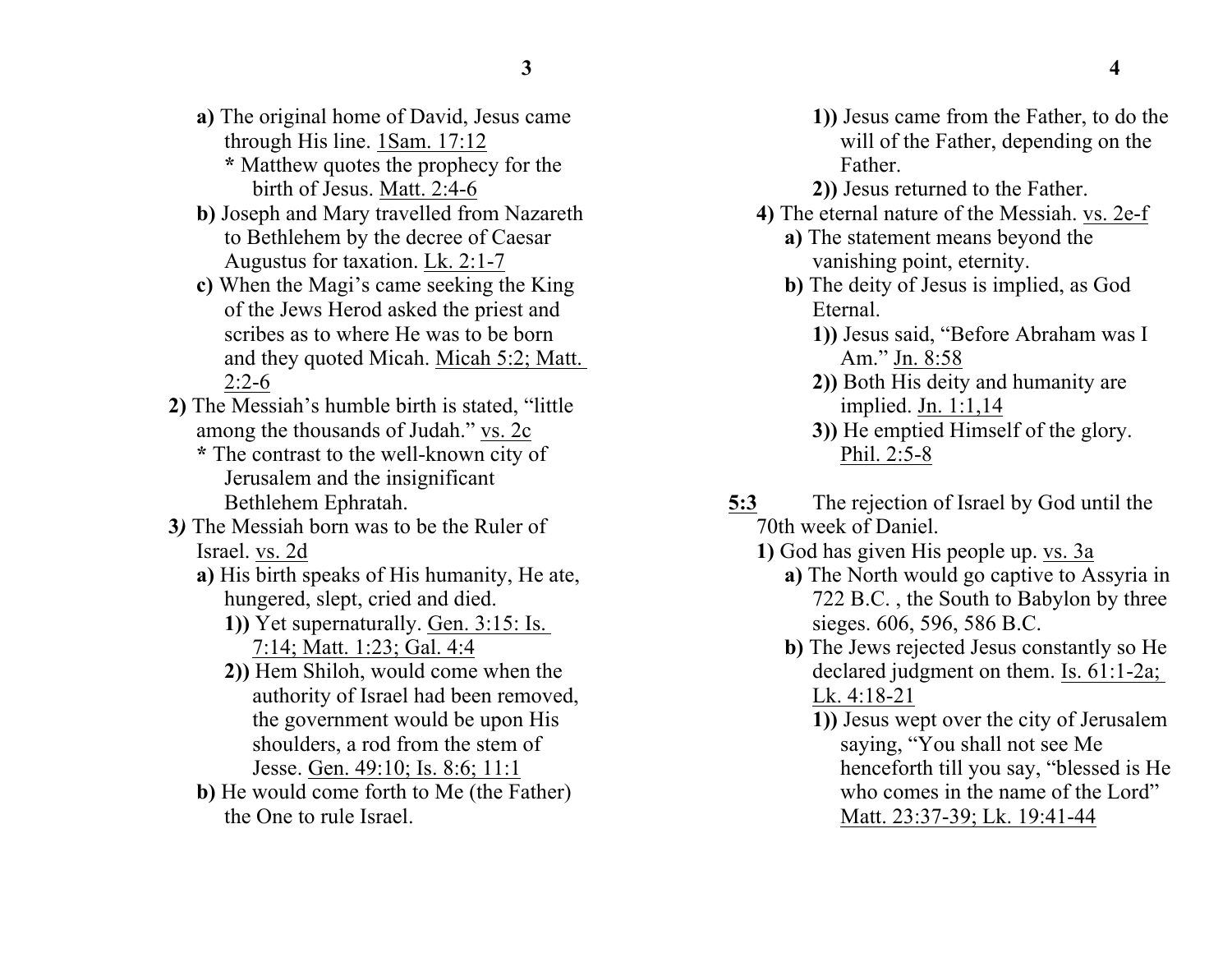- **a)** The original home of David, Jesus came through His line. 1Sam. 17:12
	- **\*** Matthew quotes the prophecy for the birth of Jesus. Matt. 2:4-6
- **b)** Joseph and Mary travelled from Nazareth to Bethlehem by the decree of Caesar Augustus for taxation. Lk. 2:1-7
- **c)** When the Magi's came seeking the King of the Jews Herod asked the priest and scribes as to where He was to be born and they quoted Micah. Micah 5:2; Matt.  $2:2-6$
- **2)** The Messiah's humble birth is stated, "little among the thousands of Judah." vs. 2c **\*** The contrast to the well-known city of Jerusalem and the insignificant

Bethlehem Ephratah.

- **3***)* The Messiah born was to be the Ruler of Israel. vs. 2d
	- **a)** His birth speaks of His humanity, He ate, hungered, slept, cried and died.
		- **1))** Yet supernaturally. Gen. 3:15: Is. 7:14; Matt. 1:23; Gal. 4:4
		- **2))** Hem Shiloh, would come when the authority of Israel had been removed, the government would be upon His shoulders, a rod from the stem of Jesse. Gen. 49:10; Is. 8:6; 11:1
	- **b)** He would come forth to Me (the Father) the One to rule Israel.
- **1))** Jesus came from the Father, to do the will of the Father, depending on the Father.
- **2))** Jesus returned to the Father.
- **4)** The eternal nature of the Messiah. vs. 2e-f
	- **a)** The statement means beyond the vanishing point, eternity.
	- **b)** The deity of Jesus is implied, as God Eternal.
		- **1))** Jesus said, "Before Abraham was I Am." Jn. 8:58
		- **2))** Both His deity and humanity are implied. Jn. 1:1,14
		- **3))** He emptied Himself of the glory. Phil. 2:5-8
- **5:3** The rejection of Israel by God until the 70th week of Daniel.
	- **1)** God has given His people up. vs. 3a
		- **a)** The North would go captive to Assyria in 722 B.C. , the South to Babylon by three sieges. 606, 596, 586 B.C.
		- **b)** The Jews rejected Jesus constantly so He declared judgment on them. Is. 61:1-2a; Lk. 4:18-21
			- **1))** Jesus wept over the city of Jerusalem saying, "You shall not see Me henceforth till you say, "blessed is He who comes in the name of the Lord" Matt. 23:37-39; Lk. 19:41-44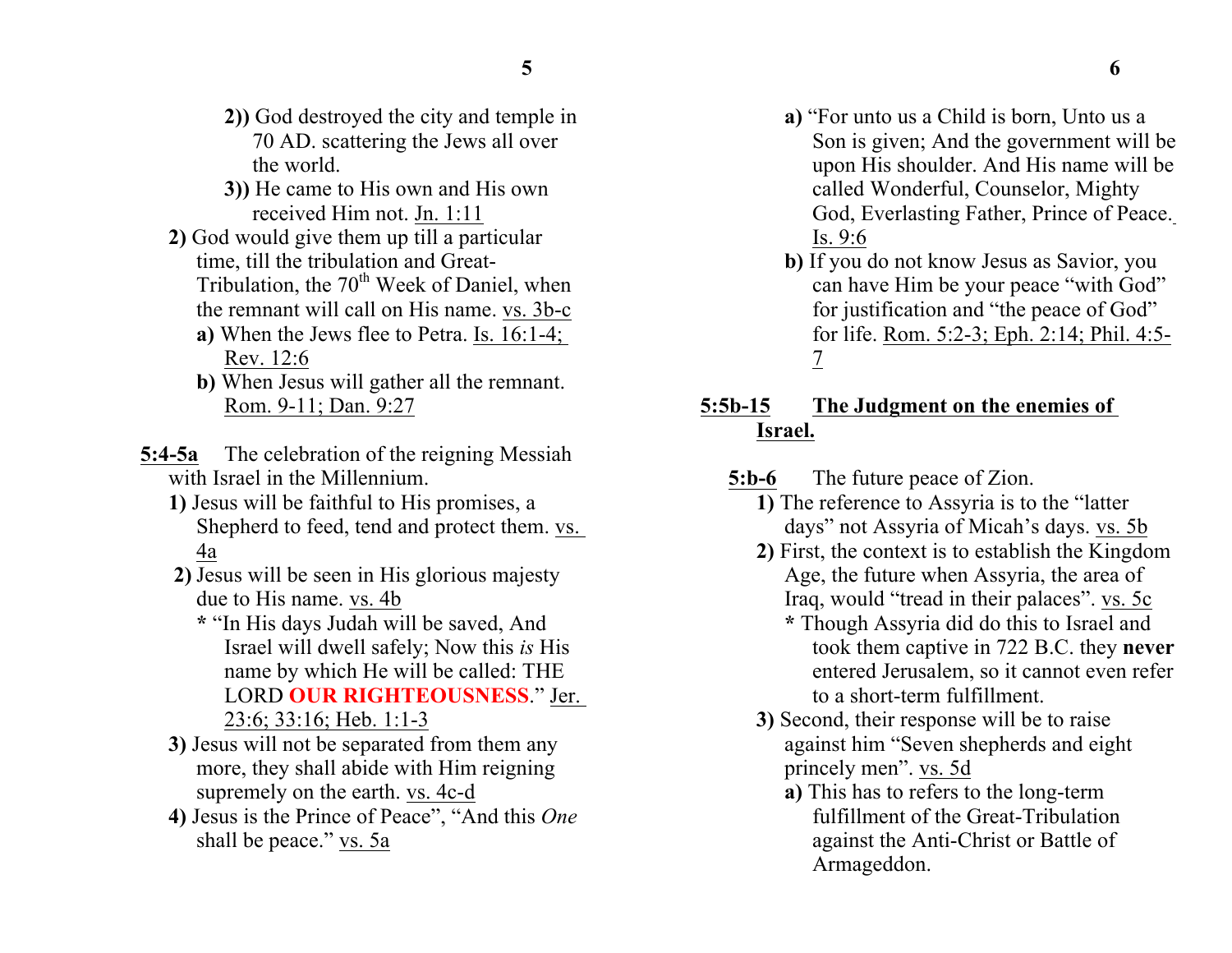- **2))** God destroyed the city and temple in 70 AD. scattering the Jews all over the world.
- **3))** He came to His own and His own received Him not. Jn. 1:11
- **2)** God would give them up till a particular time, till the tribulation and Great-Tribulation, the 70<sup>th</sup> Week of Daniel, when the remnant will call on His name. vs. 3b-c
	- **a)** When the Jews flee to Petra. Is. 16:1-4; Rev. 12:6
	- **b)** When Jesus will gather all the remnant. Rom. 9-11; Dan. 9:27
- **5:4-5a** The celebration of the reigning Messiah with Israel in the Millennium.
	- **1)** Jesus will be faithful to His promises, a Shepherd to feed, tend and protect them. vs. 4a
	- **2)** Jesus will be seen in His glorious majesty due to His name. vs. 4b
		- **\*** "In His days Judah will be saved, And Israel will dwell safely; Now this *is* His name by which He will be called: THE LORD **OUR RIGHTEOUSNESS**." Jer. 23:6; 33:16; Heb. 1:1-3
	- **3)** Jesus will not be separated from them any more, they shall abide with Him reigning supremely on the earth. vs. 4c-d
	- **4)** Jesus is the Prince of Peace", "And this *One* shall be peace." vs. 5a
- **a)** "For unto us a Child is born, Unto us a Son is given; And the government will be upon His shoulder. And His name will be called Wonderful, Counselor, Mighty God, Everlasting Father, Prince of Peace. Is. 9:6
- **b)** If you do not know Jesus as Savior, you can have Him be your peace "with God" for justification and "the peace of God" for life. Rom. 5:2-3; Eph. 2:14; Phil. 4:5- 7

## **5:5b-15 The Judgment on the enemies of Israel.**

**5:b-6** The future peace of Zion.

- **1)** The reference to Assyria is to the "latter days" not Assyria of Micah's days. vs. 5b
- **2)** First, the context is to establish the Kingdom Age, the future when Assyria, the area of Iraq, would "tread in their palaces". vs. 5c
	- **\*** Though Assyria did do this to Israel and took them captive in 722 B.C. they **never**  entered Jerusalem, so it cannot even refer to a short-term fulfillment.
- **3)** Second, their response will be to raise against him "Seven shepherds and eight princely men". vs. 5d
	- **a)** This has to refers to the long-term fulfillment of the Great-Tribulation against the Anti-Christ or Battle of Armageddon.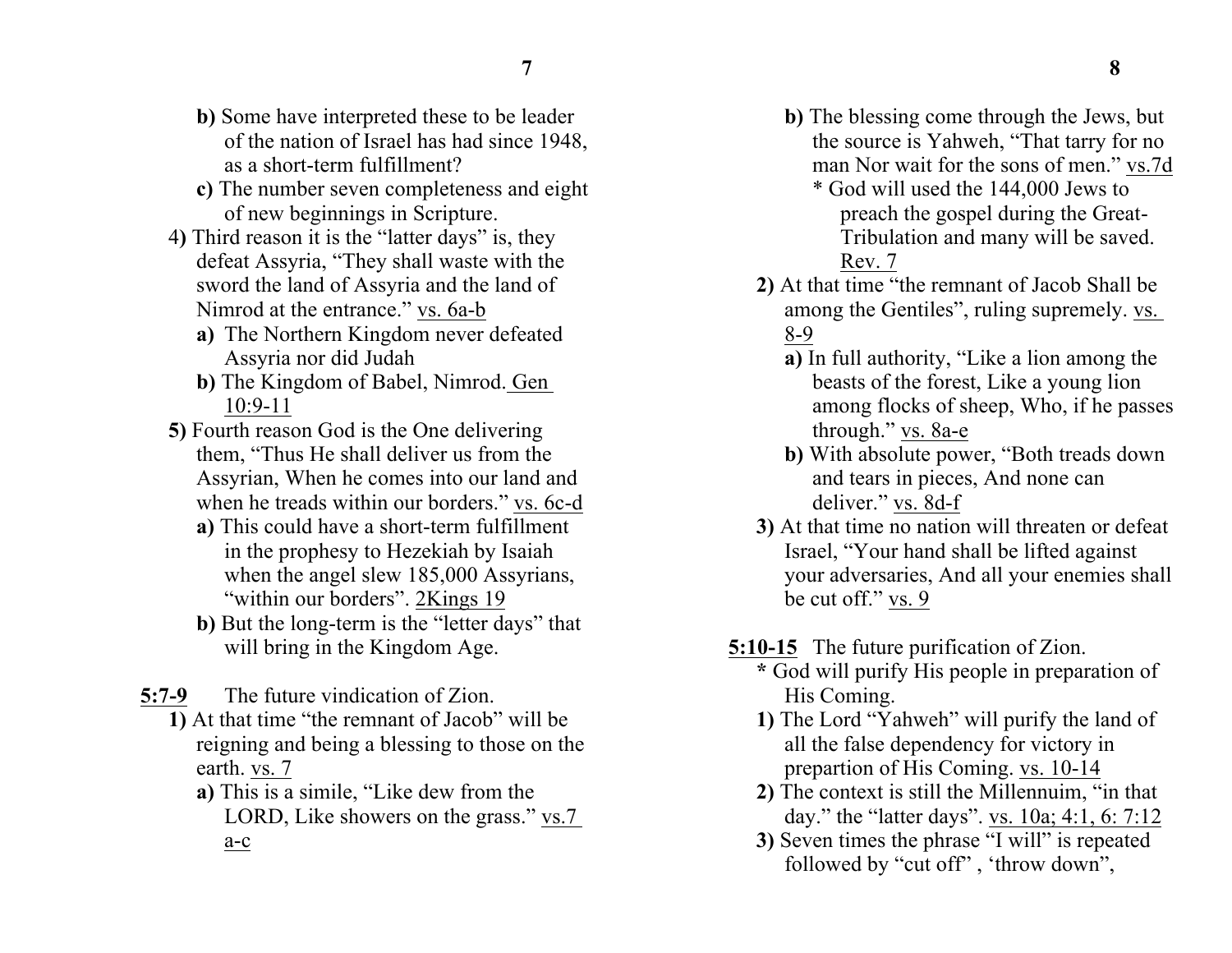- **b)** Some have interpreted these to be leader of the nation of Israel has had since 1948, as a short-term fulfillment?
- **c)** The number seven completeness and eight of new beginnings in Scripture.
- 4**)** Third reason it is the "latter days" is, they defeat Assyria, "They shall waste with the sword the land of Assyria and the land of Nimrod at the entrance." vs. 6a-b
	- **a)** The Northern Kingdom never defeated Assyria nor did Judah
	- **b)** The Kingdom of Babel, Nimrod. Gen 10:9-11
- **5)** Fourth reason God is the One delivering them, "Thus He shall deliver us from the Assyrian, When he comes into our land and when he treads within our borders." vs. 6c-d
	- **a)** This could have a short-term fulfillment in the prophesy to Hezekiah by Isaiah when the angel slew 185,000 Assyrians, "within our borders". 2Kings 19
	- **b)** But the long-term is the "letter days" that will bring in the Kingdom Age.
- **5:7-9** The future vindication of Zion.
	- **1)** At that time "the remnant of Jacob" will be reigning and being a blessing to those on the earth. vs. 7
		- **a)** This is a simile, "Like dew from the LORD, Like showers on the grass." vs.7 a-c
- **b)** The blessing come through the Jews, but the source is Yahweh, "That tarry for no man Nor wait for the sons of men." vs.7d
	- \* God will used the 144,000 Jews to preach the gospel during the Great-Tribulation and many will be saved. Rev. 7
- **2)** At that time "the remnant of Jacob Shall be among the Gentiles", ruling supremely. vs. 8-9
	- **a)** In full authority, "Like a lion among the beasts of the forest, Like a young lion among flocks of sheep, Who, if he passes through." vs. 8a-e
	- **b)** With absolute power, "Both treads down and tears in pieces, And none can deliver." vs. 8d-f
- **3)** At that time no nation will threaten or defeat Israel, "Your hand shall be lifted against your adversaries, And all your enemies shall be cut off." vs. 9
- **5:10-15** The future purification of Zion.
	- **\*** God will purify His people in preparation of His Coming.
	- **1)** The Lord "Yahweh" will purify the land of all the false dependency for victory in prepartion of His Coming. vs. 10-14
	- **2)** The context is still the Millennuim, "in that day." the "latter days". vs. 10a; 4:1, 6: 7:12
	- **3)** Seven times the phrase "I will" is repeated followed by "cut off" , 'throw down",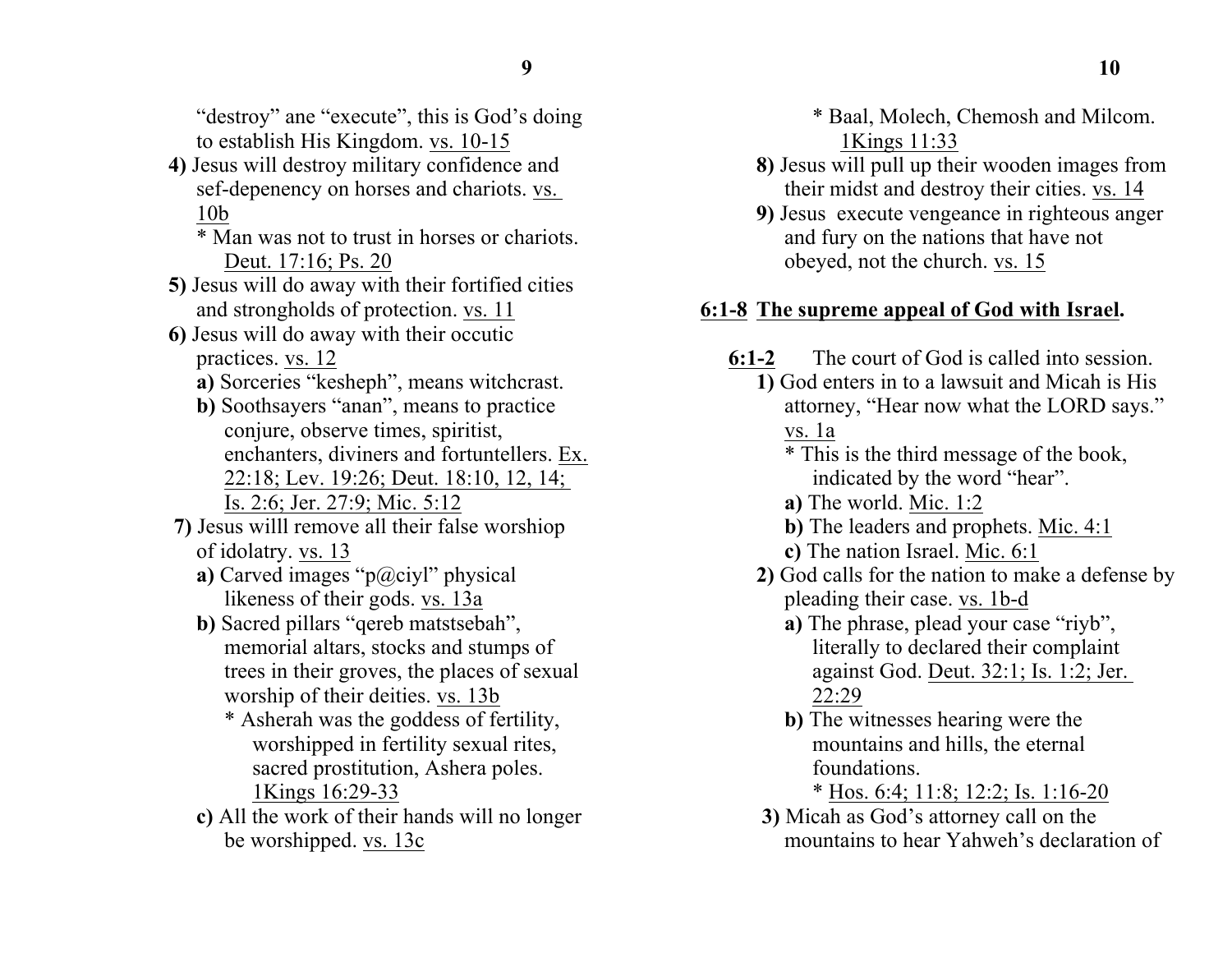"destroy" ane "execute", this is God's doing to establish His Kingdom. vs. 10-15

- **4)** Jesus will destroy military confidence and sef-depenency on horses and chariots. vs. 10b
	- \* Man was not to trust in horses or chariots. Deut. 17:16; Ps. 20
- **5)** Jesus will do away with their fortified cities and strongholds of protection. vs. 11
- **6)** Jesus will do away with their occutic practices. vs. 12
	- **a)** Sorceries "kesheph", means witchcrast.
	- **b)** Soothsayers "anan", means to practice conjure, observe times, spiritist, enchanters, diviners and fortuntellers. Ex. 22:18; Lev. 19:26; Deut. 18:10, 12, 14; Is. 2:6; Jer. 27:9; Mic. 5:12
- **7)** Jesus willl remove all their false worshiop of idolatry. vs. 13
	- **a)** Carved images "p@ciyl" physical likeness of their gods. vs. 13a
	- **b)** Sacred pillars "qereb matstsebah", memorial altars, stocks and stumps of trees in their groves, the places of sexual worship of their deities. vs. 13b
		- \* Asherah was the goddess of fertility, worshipped in fertility sexual rites, sacred prostitution, Ashera poles. 1Kings 16:29-33
	- **c)** All the work of their hands will no longer be worshipped. vs. 13c

\* Baal, Molech, Chemosh and Milcom. 1Kings 11:33

- **8)** Jesus will pull up their wooden images from their midst and destroy their cities. vs. 14
- **9)** Jesus execute vengeance in righteous anger and fury on the nations that have not obeyed, not the church. vs. 15

# **6:1-8 The supreme appeal of God with Israel.**

- **6:1-2** The court of God is called into session.
	- **1)** God enters in to a lawsuit and Micah is His attorney, "Hear now what the LORD says." vs. 1a

\* This is the third message of the book, indicated by the word "hear".

- **a)** The world. Mic. 1:2
- **b)** The leaders and prophets. Mic. 4:1
- **c)** The nation Israel. Mic. 6:1
- **2)** God calls for the nation to make a defense by pleading their case. vs. 1b-d
	- **a)** The phrase, plead your case "riyb", literally to declared their complaint against God. Deut. 32:1; Is. 1:2; Jer. 22:29
	- **b)** The witnesses hearing were the mountains and hills, the eternal foundations.

\* Hos. 6:4; 11:8; 12:2; Is. 1:16-20

**3)** Micah as God's attorney call on the mountains to hear Yahweh's declaration of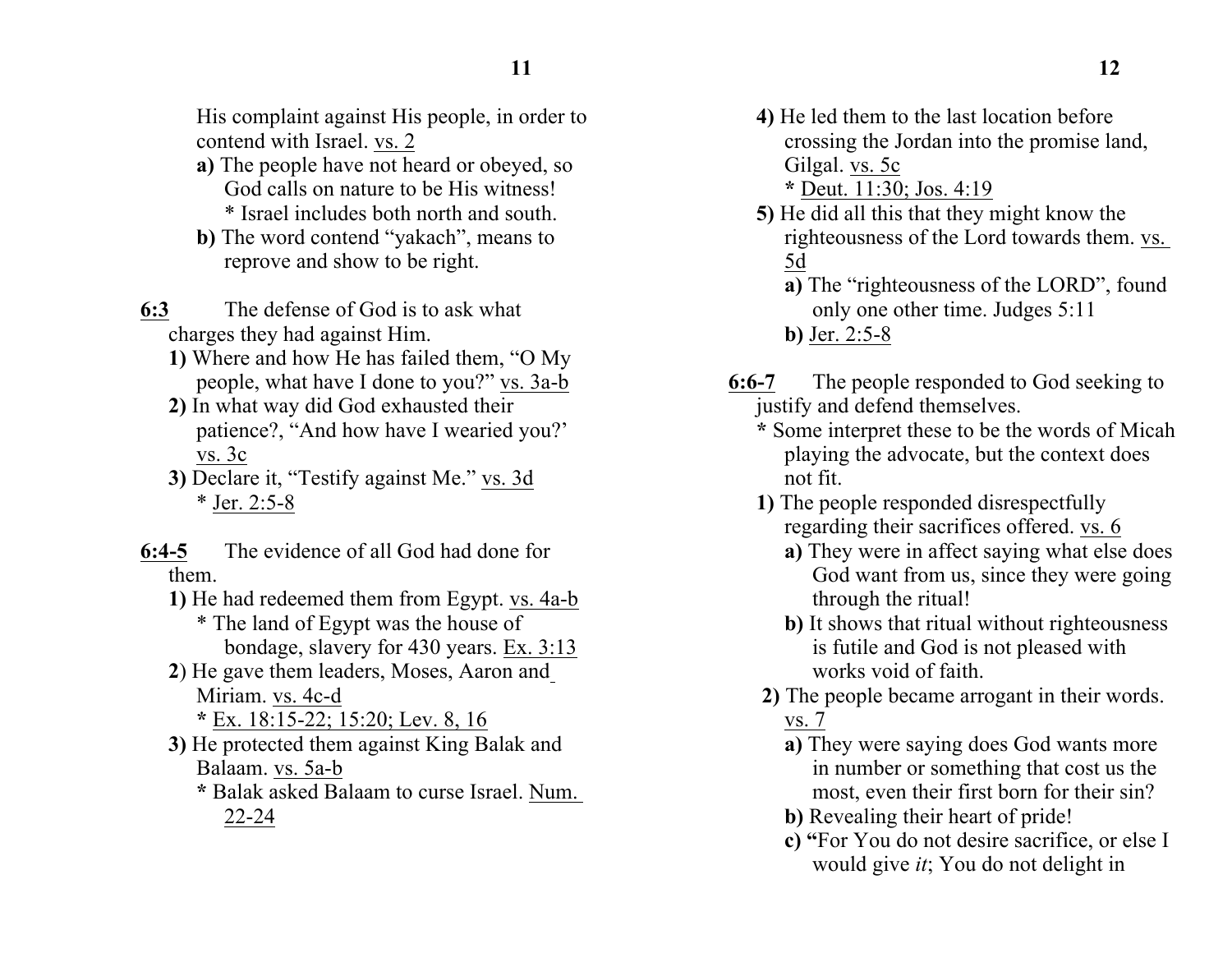His complaint against His people, in order to contend with Israel. vs. 2

- **a)** The people have not heard or obeyed, so God calls on nature to be His witness! \* Israel includes both north and south.
- **b)** The word contend "yakach", means to reprove and show to be right.
- **6:3** The defense of God is to ask what charges they had against Him.
	- **1)** Where and how He has failed them, "O My people, what have I done to you?" vs. 3a-b
	- **2)** In what way did God exhausted their patience?, "And how have I wearied you?' vs. 3c
	- **3)** Declare it, "Testify against Me." vs. 3d \* Jer. 2:5-8
- **6:4-5** The evidence of all God had done for them.
	- **1)** He had redeemed them from Egypt. vs. 4a-b \* The land of Egypt was the house of bondage, slavery for 430 years. Ex. 3:13
	- **2**) He gave them leaders, Moses, Aaron and Miriam. vs. 4c-d
		- **\*** Ex. 18:15-22; 15:20; Lev. 8, 16
	- **3)** He protected them against King Balak and Balaam. vs. 5a-b
		- **\*** Balak asked Balaam to curse Israel. Num. 22-24
- **4)** He led them to the last location before crossing the Jordan into the promise land, Gilgal. vs. 5c
	- **\*** Deut. 11:30; Jos. 4:19
- **5)** He did all this that they might know the righteousness of the Lord towards them. vs. 5d
	- **a)** The "righteousness of the LORD", found only one other time. Judges 5:11 **b)** Jer. 2:5-8
- **6:6-7** The people responded to God seeking to justify and defend themselves.
	- **\*** Some interpret these to be the words of Micah playing the advocate, but the context does not fit.
	- **1)** The people responded disrespectfully regarding their sacrifices offered. vs. 6
		- **a)** They were in affect saying what else does God want from us, since they were going through the ritual!
		- **b)** It shows that ritual without righteousness is futile and God is not pleased with works void of faith.
	- **2)** The people became arrogant in their words. vs. 7
		- **a)** They were saying does God wants more in number or something that cost us the most, even their first born for their sin?
		- **b)** Revealing their heart of pride!
		- **c) "**For You do not desire sacrifice, or else I would give *it*; You do not delight in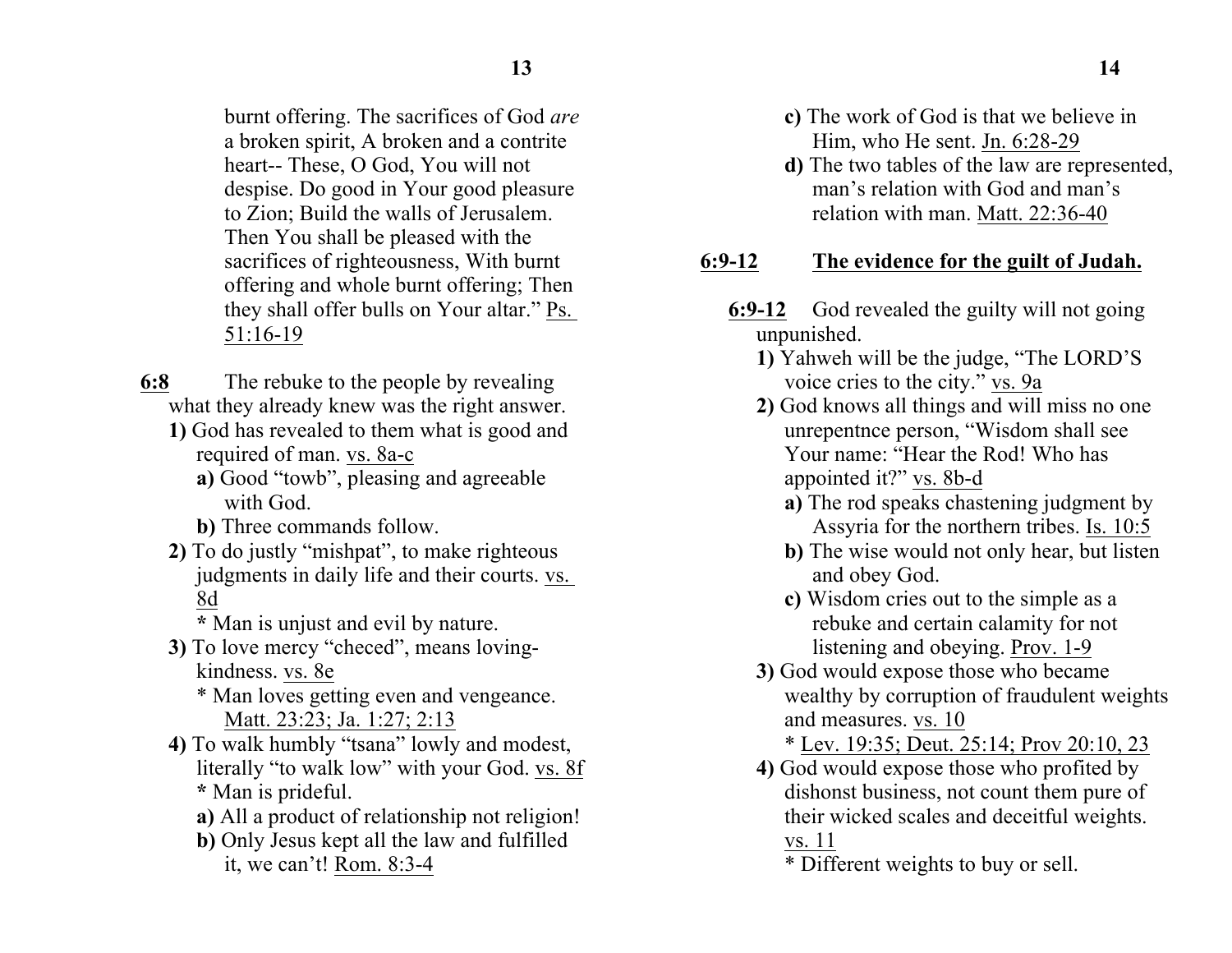burnt offering. The sacrifices of God *are* a broken spirit, A broken and a contrite heart-- These, O God, You will not despise. Do good in Your good pleasure to Zion; Build the walls of Jerusalem. Then You shall be pleased with the sacrifices of righteousness, With burnt offering and whole burnt offering; Then they shall offer bulls on Your altar." Ps. 51:16-19

- **6:8** The rebuke to the people by revealing what they already knew was the right answer.
	- **1)** God has revealed to them what is good and required of man. vs. 8a-c
		- **a)** Good "towb", pleasing and agreeable with God.
		- **b)** Three commands follow.
	- **2)** To do justly "mishpat", to make righteous judgments in daily life and their courts. vs. 8d
		- **\*** Man is unjust and evil by nature.
	- **3)** To love mercy "checed", means lovingkindness. vs. 8e
		- \* Man loves getting even and vengeance. Matt. 23:23; Ja. 1:27; 2:13
	- **4)** To walk humbly "tsana" lowly and modest, literally "to walk low" with your God. vs. 8f **\*** Man is prideful.
		- **a)** All a product of relationship not religion!
		- **b)** Only Jesus kept all the law and fulfilled it, we can't! Rom. 8:3-4
- **c)** The work of God is that we believe in
	- Him, who He sent. Jn. 6:28-29
- **d)** The two tables of the law are represented, man's relation with God and man's relation with man. Matt. 22:36-40

# **6:9-12 The evidence for the guilt of Judah.**

- **6:9-12** God revealed the guilty will not going unpunished.
	- **1)** Yahweh will be the judge, "The LORD'S voice cries to the city." vs. 9a
	- **2)** God knows all things and will miss no one unrepentnce person, "Wisdom shall see Your name: "Hear the Rod! Who has appointed it?" vs. 8b-d
		- **a)** The rod speaks chastening judgment by Assyria for the northern tribes. Is. 10:5
		- **b**) The wise would not only hear, but listen and obey God.
		- **c)** Wisdom cries out to the simple as a rebuke and certain calamity for not listening and obeying. Prov. 1-9
	- **3)** God would expose those who became wealthy by corruption of fraudulent weights and measures. vs. 10

\* Lev. 19:35; Deut. 25:14; Prov 20:10, 23

- **4)** God would expose those who profited by dishonst business, not count them pure of their wicked scales and deceitful weights. vs. 11
	- \* Different weights to buy or sell.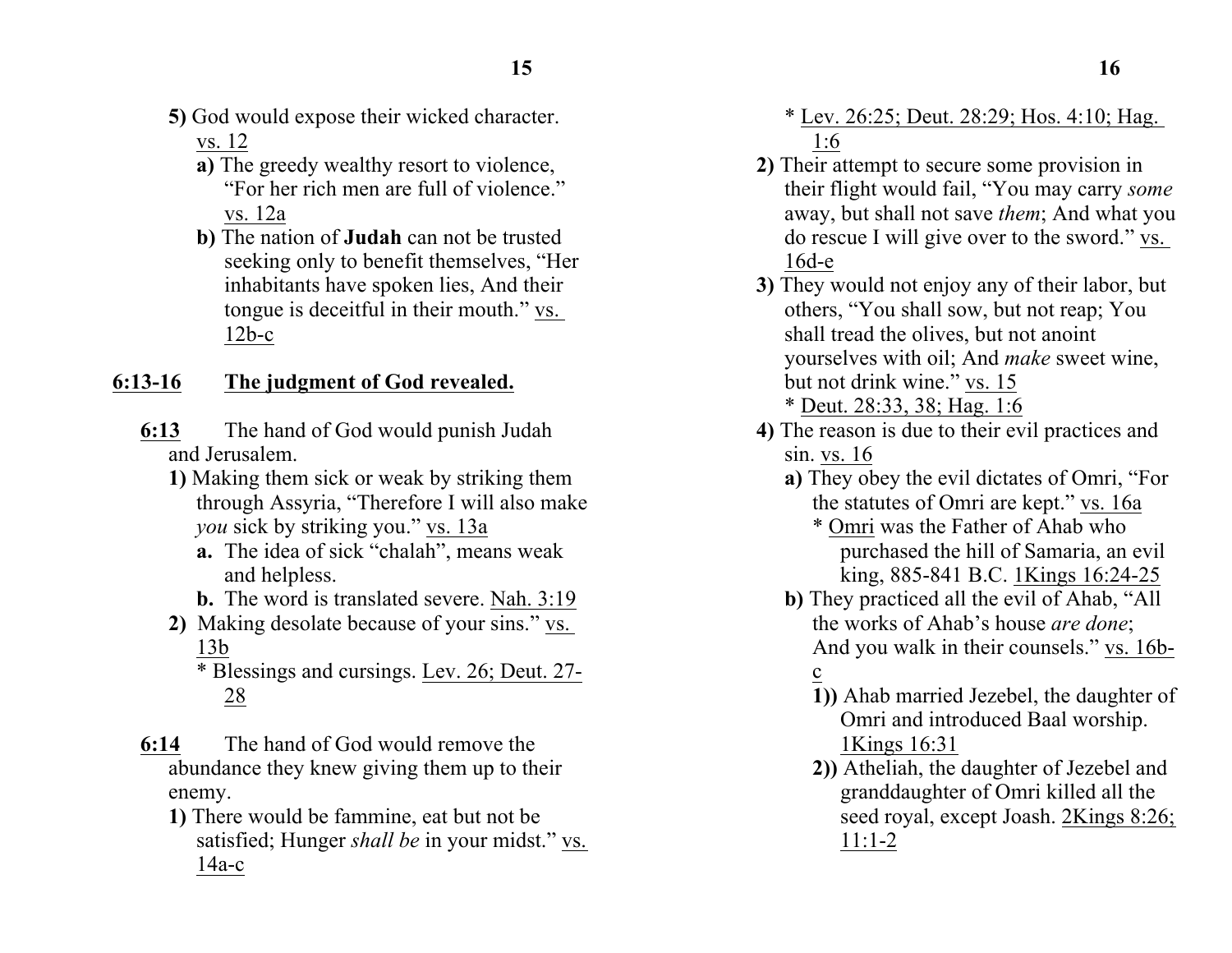- **5)** God would expose their wicked character. vs. 12
	- **a)** The greedy wealthy resort to violence, "For her rich men are full of violence." vs. 12a
	- **b)** The nation of **Judah** can not be trusted seeking only to benefit themselves, "Her inhabitants have spoken lies, And their tongue is deceitful in their mouth." vs.  $12b-c$

#### **6:13-16 The judgment of God revealed.**

- **6:13** The hand of God would punish Judah and Jerusalem.
	- **1)** Making them sick or weak by striking them through Assyria, "Therefore I will also make *you* sick by striking you." vs. 13a
		- **a.** The idea of sick "chalah", means weak and helpless.
		- **b.** The word is translated severe. Nah. 3:19
	- **2)** Making desolate because of your sins." vs. 13b

\* Blessings and cursings. Lev. 26; Deut. 27- 28

- **6:14** The hand of God would remove the abundance they knew giving them up to their enemy.
	- **1)** There would be fammine, eat but not be satisfied; Hunger *shall be* in your midst." vs. 14a-c

\* Lev. 26:25; Deut. 28:29; Hos. 4:10; Hag. 1:6

- **2)** Their attempt to secure some provision in their flight would fail, "You may carry *some* away, but shall not save *them*; And what you do rescue I will give over to the sword." vs. 16d-e
- **3)** They would not enjoy any of their labor, but others, "You shall sow, but not reap; You shall tread the olives, but not anoint yourselves with oil; And *make* sweet wine, but not drink wine." vs. 15 \* Deut. 28:33, 38; Hag. 1:6
- **4)** The reason is due to their evil practices and sin. vs. 16
	- **a)** They obey the evil dictates of Omri, "For the statutes of Omri are kept." vs. 16a
		- \* Omri was the Father of Ahab who purchased the hill of Samaria, an evil king, 885-841 B.C. 1Kings 16:24-25
	- **b)** They practiced all the evil of Ahab, "All the works of Ahab's house *are done*; And you walk in their counsels." vs. 16bc
		- **1))** Ahab married Jezebel, the daughter of Omri and introduced Baal worship. 1Kings 16:31
		- **2))** Atheliah, the daughter of Jezebel and granddaughter of Omri killed all the seed royal, except Joash. 2Kings 8:26; 11:1-2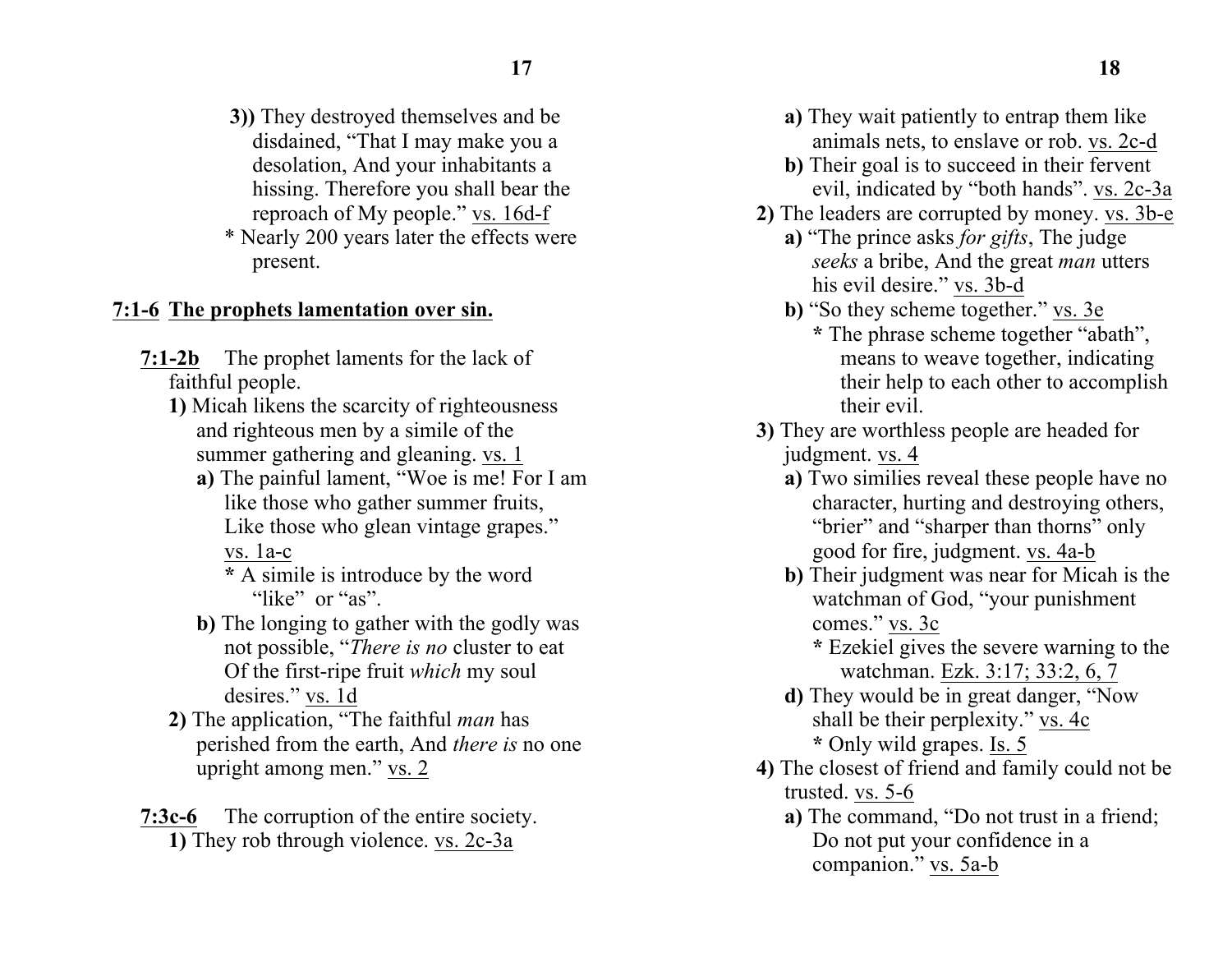- **3))** They destroyed themselves and be disdained, "That I may make you a desolation, And your inhabitants a hissing. Therefore you shall bear the reproach of My people." vs. 16d-f
- \* Nearly 200 years later the effects were present.

#### **7:1-6 The prophets lamentation over sin.**

- **7:1-2b** The prophet laments for the lack of faithful people.
	- **1)** Micah likens the scarcity of righteousness and righteous men by a simile of the summer gathering and gleaning. vs. 1
		- **a)** The painful lament, "Woe is me! For I am like those who gather summer fruits, Like those who glean vintage grapes." vs. 1a-c
			- **\*** A simile is introduce by the word "like" or "as"
		- **b)** The longing to gather with the godly was not possible, "*There is no* cluster to eat Of the first-ripe fruit *which* my soul desires." vs. 1d
	- **2)** The application, "The faithful *man* has perished from the earth, And *there is* no one upright among men." vs. 2
- **7:3c-6** The corruption of the entire society. **1)** They rob through violence. vs. 2c-3a
- **a)** They wait patiently to entrap them like animals nets, to enslave or rob. vs. 2c-d
- **b)** Their goal is to succeed in their fervent evil, indicated by "both hands". vs. 2c-3a
- **2)** The leaders are corrupted by money. vs. 3b-e
	- **a)** "The prince asks *for gifts*, The judge *seeks* a bribe, And the great *man* utters his evil desire." vs. 3b-d
	- **b)** "So they scheme together." vs. 3e **\*** The phrase scheme together "abath", means to weave together, indicating their help to each other to accomplish their evil.
- **3)** They are worthless people are headed for judgment. vs. 4
	- **a)** Two similies reveal these people have no character, hurting and destroying others, "brier" and "sharper than thorns" only good for fire, judgment. vs. 4a-b
	- **b)** Their judgment was near for Micah is the watchman of God, "your punishment comes." vs. 3c
		- **\*** Ezekiel gives the severe warning to the watchman. Ezk. 3:17; 33:2, 6, 7
	- **d)** They would be in great danger, "Now shall be their perplexity." vs. 4c **\*** Only wild grapes. Is. 5
- **4)** The closest of friend and family could not be trusted. vs. 5-6
	- **a)** The command, "Do not trust in a friend; Do not put your confidence in a companion." vs. 5a-b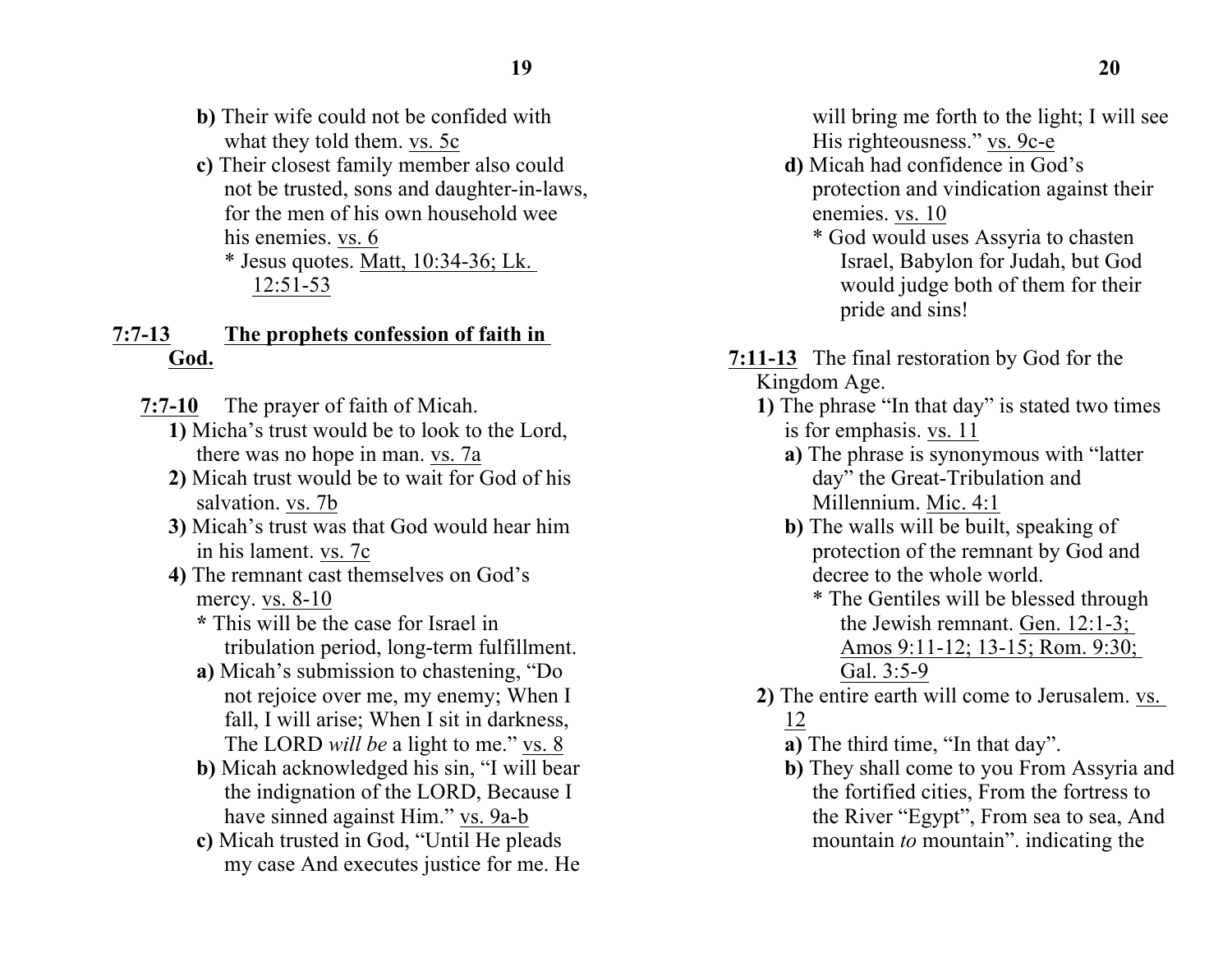- **b)** Their wife could not be confided with what they told them. vs. 5c
- **c)** Their closest family member also could not be trusted, sons and daughter-in-laws, for the men of his own household wee his enemies. vs. 6
	- $*$  Jesus quotes. Matt, 10:34-36; Lk. 12:51-53

### **7:7-13 The prophets confession of faith in God.**

- **7:7-10** The prayer of faith of Micah.
	- **1)** Micha's trust would be to look to the Lord, there was no hope in man. vs. 7a
	- **2)** Micah trust would be to wait for God of his salvation. vs. 7b
	- **3)** Micah's trust was that God would hear him in his lament. vs. 7c
	- **4)** The remnant cast themselves on God's mercy. vs. 8-10
		- **\*** This will be the case for Israel in tribulation period, long-term fulfillment.
		- **a)** Micah's submission to chastening, "Do not rejoice over me, my enemy; When I fall, I will arise; When I sit in darkness, The LORD *will be* a light to me." vs. 8
		- **b)** Micah acknowledged his sin, "I will bear the indignation of the LORD, Because I have sinned against Him." vs. 9a-b
		- **c)** Micah trusted in God, "Until He pleads my case And executes justice for me. He

will bring me forth to the light; I will see His righteousness." vs. 9c-e

- **d)** Micah had confidence in God's protection and vindication against their enemies. vs. 10
	- \* God would uses Assyria to chasten Israel, Babylon for Judah, but God would judge both of them for their pride and sins!
- **7:11-13** The final restoration by God for the Kingdom Age.
	- **1)** The phrase "In that day" is stated two times is for emphasis. vs. 11
		- **a)** The phrase is synonymous with "latter day" the Great-Tribulation and Millennium. Mic. 4:1
		- **b)** The walls will be built, speaking of protection of the remnant by God and decree to the whole world.
			- \* The Gentiles will be blessed through the Jewish remnant. Gen. 12:1-3; Amos 9:11-12; 13-15; Rom. 9:30; Gal. 3:5-9
	- **2)** The entire earth will come to Jerusalem. vs. 12
		- **a)** The third time, "In that day".
		- **b)** They shall come to you From Assyria and the fortified cities, From the fortress to the River "Egypt", From sea to sea, And mountain *to* mountain". indicating the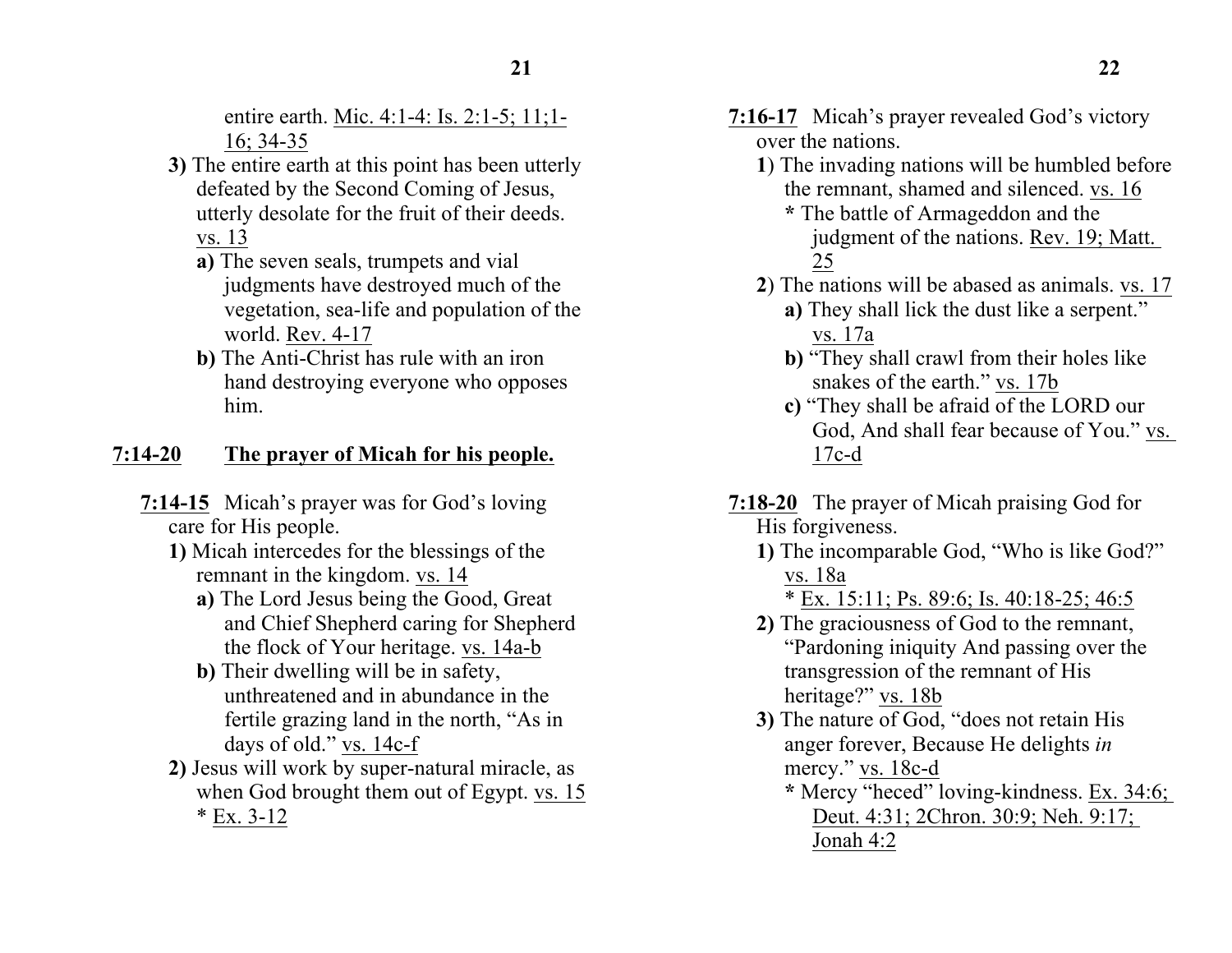entire earth. Mic. 4:1-4: Is. 2:1-5; 11;1-16; 34-35

- **3)** The entire earth at this point has been utterly defeated by the Second Coming of Jesus, utterly desolate for the fruit of their deeds. vs. 13
	- **a)** The seven seals, trumpets and vial judgments have destroyed much of the vegetation, sea-life and population of the world. Rev. 4-17
	- **b)** The Anti-Christ has rule with an iron hand destroying everyone who opposes him.

## **7:14-20 The prayer of Micah for his people.**

- **7:14-15** Micah's prayer was for God's loving care for His people.
	- **1)** Micah intercedes for the blessings of the remnant in the kingdom. vs. 14
		- **a)** The Lord Jesus being the Good, Great and Chief Shepherd caring for Shepherd the flock of Your heritage. vs. 14a-b
		- **b)** Their dwelling will be in safety, unthreatened and in abundance in the fertile grazing land in the north, "As in days of old." vs. 14c-f
	- **2)** Jesus will work by super-natural miracle, as when God brought them out of Egypt. vs. 15  $*$  Ex. 3-12
- **7:16-17** Micah's prayer revealed God's victory over the nations.
	- **1**) The invading nations will be humbled before the remnant, shamed and silenced. vs. 16
		- **\*** The battle of Armageddon and the judgment of the nations. Rev. 19; Matt. 25
	- **2**) The nations will be abased as animals. vs. 17 **a)** They shall lick the dust like a serpent." vs. 17a
		- **b)** "They shall crawl from their holes like snakes of the earth." vs. 17b
		- **c)** "They shall be afraid of the LORD our God, And shall fear because of You." vs. 17c-d
- **7:18-20** The prayer of Micah praising God for His forgiveness.
	- **1)** The incomparable God, "Who is like God?" vs. 18a
		- \* Ex. 15:11; Ps. 89:6; Is. 40:18-25; 46:5
	- **2)** The graciousness of God to the remnant, "Pardoning iniquity And passing over the transgression of the remnant of His heritage?" vs. 18b
	- **3)** The nature of God, "does not retain His anger forever, Because He delights *in* mercy." vs. 18c-d
		- **\*** Mercy "heced" loving-kindness. Ex. 34:6; Deut. 4:31; 2Chron. 30:9; Neh. 9:17; Jonah 4:2